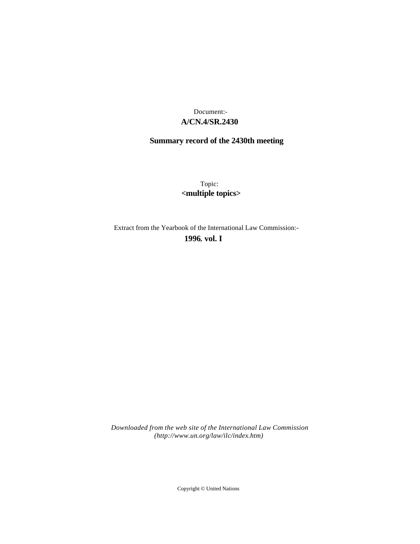# **A/CN.4/SR.2430** Document:-

# **Summary record of the 2430th meeting**

Topic: **<multiple topics>**

Extract from the Yearbook of the International Law Commission:-

**1996** , **vol. I**

*Downloaded from the web site of the International Law Commission (http://www.un.org/law/ilc/index.htm)*

Copyright © United Nations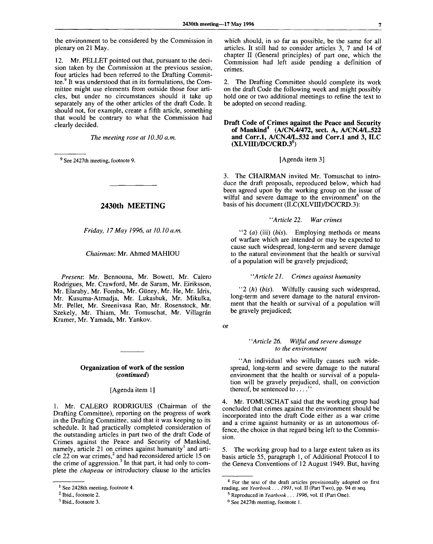the environment to be considered by the Commission in plenary on 21 May.

12. Mr. PELLET pointed out that, pursuant to the decision taken by the Commission at the previous session, four articles had been referred to the Drafting Committee.<sup>9</sup> It was understood that in its formulations, the Committee might use elements from outside those four articles, but under no circumstances should it take up separately any of the other articles of the draft Code. It should not, for example, create a fifth article, something that would be contrary to what the Commission had clearly decided.

*The meeting rose at 10.30 a.m.*

<sup>9</sup> See 2427th meeting, footnote 9.

## **2430th MEETING**

*Friday, 17 May 1996, at 10.10 a.m.*

#### *Chairman:* Mr. Ahmed MAHIOU

*Present:* Mr. Bennouna, Mr. Bowett, Mr. Calero Rodrigues, Mr. Crawford, Mr. de Saram, Mr. Eiriksson, Mr. Elaraby, Mr. Fomba, Mr. Giiney, Mr. He, Mr. Idris, Mr. Kusuma-Atmadja, Mr. Lukashuk, Mr. Mikulka, Mr. Pellet, Mr. Sreenivasa Rao, Mr. Rosenstock, Mr. Szekely, Mr. Thiam, Mr. Tomuschat, Mr. Villagrán Kramer, Mr. Yamada, Mr. Yankov.

#### **Organization of work of the session** *(continued)*

[Agenda item 1]

1. Mr. CALERO RODRIGUES (Chairman of the Drafting Committee), reporting on the progress of work in the Drafting Committee, said that it was keeping to its schedule. It had practically completed consideration of the outstanding articles in part two of the draft Code of Crimes against the Peace and Security of Mankind, namely, article 21 on crimes against humanity<sup>1</sup> and article 22 on war crimes,<sup>2</sup> and had reconsidered article 15 on the crime of aggression.<sup>3</sup> In that part, it had only to complete the *chapeau* or introductory clause to the articles which should, in so far as possible, be the same for all articles. It still had to consider articles 3, 7 and 14 of chapter II (General principles) of part one, which the Commission had left aside pending a definition of crimes.

2. The Drafting Committee should complete its work on the draft Code the following week and might possibly hold one or two additional meetings to refine the text to be adopted on second reading.

**Draft Code of Crimes against the Peace and Security of Mankind<sup>4</sup> (A/CN.4/472, sect. A, A/CN.4/L.522 and Corr.l, A/CN.4/L.532 and Corr.l and 3, ILC (XLVIII)/DC/CRD.3<sup>5</sup> )**

#### [Agenda item 3]

3. The CHAIRMAN invited Mr. Tomuschat to introduce the draft proposals, reproduced below, which had been agreed upon by the working group on the issue of wilful and severe damage to the environment<sup>6</sup> on the basis of his document (ILC(XLVIII)/DC/CRD.3):

#### ' 'y4 *rticle 22. War crimes*

"2 *(a)* (iii) *(bis).* Employing methods or means of warfare which are intended or may be expected to cause such widespread, long-term and severe damage to the natural environment that the health or survival of a population will be gravely prejudiced;

#### *"Article 21. Crimes against humanity*

"2 *(h) (bis).* Wilfully causing such widespread, long-term and severe damage to the natural environment that the health or survival of a population will be gravely prejudiced;

or

#### ' *'Article 26. Wilful and severe damage to the environment*

"An individual who wilfully causes such widespread, long-term and severe damage to the natural environment that the health or survival of a population will be gravely prejudiced, shall, on conviction thereof, be sentenced to .... "

4. Mr. TOMUSCHAT said that the working group had concluded that crimes against the environment should be incorporated into the draft Code either as a war crime and a crime against humanity or as an autonomous offence, the choice in that regard being left to the Commission.

5. The working group had to a large extent taken as its basis article 55, paragraph 1, of Additional Protocol I to the Geneva Conventions of 12 August 1949. But, having

<sup>&</sup>lt;sup>1</sup> See 2428th meeting, footnote 4.

<sup>&</sup>lt;sup>2</sup> Ibid., footnote 2.

<sup>&</sup>lt;sup>3</sup> Ibid., footnote 3.

<sup>&</sup>lt;sup>4</sup> For the text of the draft articles provisionally adopted on first reading, see *Yearbook . . . 1991,* vol. II (Part Two), pp. 94 et seq.

<sup>5</sup> Reproduced in *Yearbook . . . 1996,* vol. II (Part One).

<sup>&</sup>lt;sup>6</sup> See 2427th meeting, footnote 1.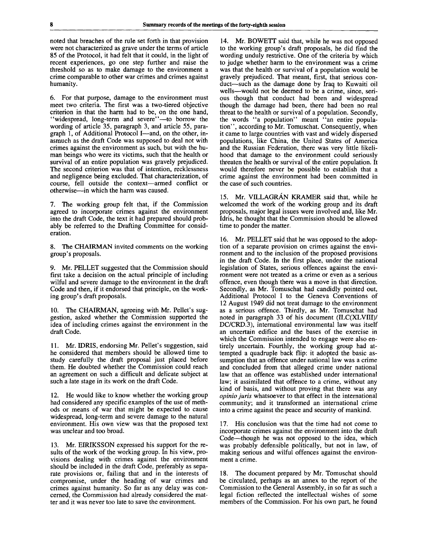noted that breaches of the rule set forth in that provision were not characterized as grave under the terms of article 85 of the Protocol, it had felt that it could, in the light of recent experiences, go one step further and raise the threshold so as to make damage to the environment a crime comparable to other war crimes and crimes against humanity.

6. For that purpose, damage to the environment must meet two criteria. The first was a two-tiered objective criterion in that the harm had to be, on the one hand, "widespread, long-term and severe"—to borrow the wording of article 35, paragraph 3, and article 55, paragraph 1, of Additional Protocol I—and, on the other, inasmuch as the draft Code was supposed to deal not with crimes against the environment as such, but with the human beings who were its victims, such that the health or survival of an entire population was gravely prejudiced. The second criterion was that of intention, recklessness and negligence being excluded. That characterization, of course, fell outside the context—armed conflict or otherwise—in which the harm was caused.

7. The working group felt that, if the Commission agreed to incorporate crimes against the environment into the draft Code, the text it had prepared should probably be referred to the Drafting Committee for consideration.

8. The CHAIRMAN invited comments on the working group's proposals.

9. Mr. PELLET suggested that the Commission should first take a decision on the actual principle of including wilful and severe damage to the environment in the draft Code and then, if it endorsed that principle, on the working group's draft proposals.

10. The CHAIRMAN, agreeing with Mr. Pellet's suggestion, asked whether the Commission supported the idea of including crimes against the environment in the draft Code.

11. Mr. IDRIS, endorsing Mr. Pellet's suggestion, said he considered that members should be allowed time to study carefully the draft proposal just placed before them. He doubted whether the Commission could reach an agreement on such a difficult and delicate subject at such a late stage in its work on the draft Code.

12. He would like to know whether the working group had considered any specific examples of the use of methods or means of war that might be expected to cause widespread, long-term and severe damage to the natural environment. His own view was that the proposed text was unclear and too broad.

13. Mr. EIRIKSSON expressed his support for the results of the work of the working group. In his view, provisions dealing with crimes against the environment should be included in the draft Code, preferably as separate provisions or, failing that and in the interests of compromise, under the heading of war crimes and crimes against humanity. So far as any delay was concerned, the Commission had already considered the matter and it was never too late to save the environment.

14. Mr. BOWETT said that, while he was not opposed to the working group's draft proposals, he did find the wording unduly restrictive. One of the criteria by which to judge whether harm to the environment was a crime was that the health or survival of a population would be gravely prejudiced. That meant, first, that serious conduct—such as the damage done by Iraq to Kuwaiti oil wells—would not be deemed to be a crime, since, serious though that conduct had been and widespread though the damage had been, there had been no real threat to the health or survival of a population. Secondly, the words "a population" meant  $\cdots$  an entire population", according to Mr. Tomuschat. Consequently, when it came to large countries with vast and widely dispersed populations, like China, the United States of America and the Russian Federation, there was very little likelihood that damage to the environment could seriously threaten the health or survival of the entire population. It would therefore never be possible to establish that a crime against the environment had been committed in the case of such countries.

15. Mr. VILLAGRÁN KRAMER said that, while he welcomed the work of the working group and its draft proposals, major legal issues were involved and, like Mr. Idris, he thought that the Commission should be allowed time to ponder the matter.

16. Mr. PELLET said that he was opposed to the adoption of a separate provision on crimes against the environment and to the inclusion of the proposed provisions in the draft Code. In the first place, under the national legislation of States, serious offences against the environment were not treated as a crime or even as a serious offence, even though there was a move in that direction. Secondly, as Mr. Tomuschat had candidly pointed out, Additional Protocol I to the Geneva Conventions of 12 August 1949 did not treat damage to the environment as a serious offence. Thirdly, as Mr. Tomuschat had noted in paragraph 33 of his document (ILC(XLVIII)/ DC/CRD.3), international environmental law was itself an uncertain edifice and the bases of the exercise in which the Commission intended to engage were also entirely uncertain. Fourthly, the working group had attempted a quadruple back flip: it adopted the basic assumption that an offence under national law was a crime and concluded from that alleged crime under national law that an offence was established under international law; it assimilated that offence to a crime, without any kind of basis, and without proving that there was any *opinio juris* whatsoever to that effect in the international community; and it transformed an international crime into a crime against the peace and security of mankind.

17. His conclusion was that the time had not come to incorporate crimes against the environment into the draft Code—though he was not opposed to the idea, which was probably defensible politically, but not in law, of making serious and wilful offences against the environment a crime.

18. The document prepared by Mr. Tomuschat should be circulated, perhaps as an annex to the report of the Commission to the General Assembly, in so far as such a legal fiction reflected the intellectual wishes of some members of the Commission. For his own part, he found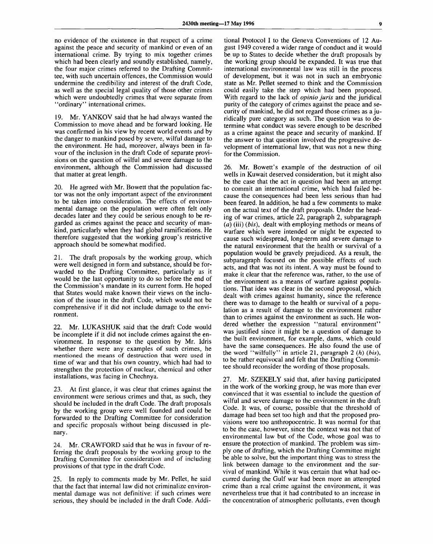no evidence of the existence in that respect of a crime against the peace and security of mankind or even of an international crime. By trying to mix together crimes which had been clearly and soundly established, namely, the four major crimes referred to the Drafting Committee, with such uncertain offences, the Commission would undermine the credibility and interest of the draft Code, as well as the special legal quality of those other crimes which were undoubtedly crimes that were separate from "ordinary" international crimes.

19. Mr. YANKOV said that he had always wanted the Commission to move ahead and be forward looking. He was confirmed in his view by recent world events and by the danger to mankind posed by severe, wilful damage to the environment. He had, moreover, always been in favour of the inclusion in the draft Code of separate provisions on the question of wilful and severe damage to the environment, although the Commission had discussed that matter at great length.

20. He agreed with Mr. Bowett that the population factor was not the only important aspect of the environment to be taken into consideration. The effects of environmental damage on the population were often felt only decades later and they could be serious enough to be regarded as crimes against the peace and security of mankind, particularly when they had global ramifications. He therefore suggested that the working group's restrictive approach should be somewhat modified.

21. The draft proposals by the working group, which were well designed in form and substance, should be forwarded to the Drafting Committee, particularly as it would be the last opportunity to do so before the end of the Commission's mandate in its current form. He hoped that States would make known their views on the inclusion of the issue in the draft Code, which would not be comprehensive if it did not include damage to the environment.

22. Mr. LUKASHUK said that the draft Code would be incomplete if it did not include crimes against the environment. In response to the question by Mr. Idris whether there were any examples of such crimes, he mentioned the means of destruction that were used in time of war and that his own country, which had had to strengthen the protection of nuclear, chemical and other installations, was facing in Chechnya.

23. At first glance, it was clear that crimes against the environment were serious crimes and that, as such, they should be included in the draft Code. The draft proposals by the working group were well founded and could be forwarded to the Drafting Committee for consideration and specific proposals without being discussed in plenary.

24. Mr. CRAWFORD said that he was in favour of referring the draft proposals by the working group to the Drafting Committee for consideration and of including provisions of that type in the draft Code.

25. In reply to comments made by Mr. Pellet, he said that the fact that internal law did not criminalize environmental damage was not definitive: if such crimes were serious, they should be included in the draft Code. Additional Protocol I to the Geneva Conventions of 12 August 1949 covered a wider range of conduct and it would be up to States to decide whether the draft proposals by the working group should be expanded. It was true that international environmental law was still in the process of development, but it was not in such an embryonic state as Mr. Pellet seemed to think and the Commission could easily take the step which had been proposed. With regard to the lack of *opinio juris* and the juridical purity of the category of crimes against the peace and security of mankind, he did not regard those crimes as a juridically pure category as such. The question was to determine what conduct was severe enough to be described as a crime against the peace and security of mankind. If the answer to that question involved the progressive development of international law, that was not a new thing for the Commission.

26. Mr. Bowett's example of the destruction of oil wells in Kuwait deserved consideration, but it might also be the case that the act in question had been an attempt to commit an international crime, which had failed because the consequences had been less serious than had been feared. In addition, he had a few comments to make on the actual text of the draft proposals. Under the heading of war crimes, article 22, paragraph 2, subparagraph *(a)* (iii) *(bis),* dealt with employing methods or means of warfare which were intended or might be expected to cause such widespread, long-term and severe damage to the natural environment that the health or survival of a population would be gravely prejudiced. As a result, the subparagraph focused on the possible effects of such acts, and that was not its intent. A way must be found to make it clear that the reference was, rather, to the use of the environment as a means of warfare against populations. That idea was clear in the second proposal, which dealt with crimes against humanity, since the reference there was to damage to the health or survival of a population as a result of damage to the environment rather than to crimes against the environment as such. He wondered whether the expression "natural environment" was justified since it might be a question of damage to the built environment, for example, dams, which could have the same consequences. He also found the use of the word "wilfully" in article 21, paragraph *2 (h) (bis),* to be rather equivocal and felt that the Drafting Committee should reconsider the wording of those proposals.

27. Mr. SZEKELY said that, after having participated in the work of the working group, he was more than ever convinced that it was essential to include the question of wilful and severe damage to the environment in the draft Code. It was, of course, possible that the threshold of damage had been set too high and that the proposed provisions were too anthropocentric. It was normal for that to be the case, however, since the context was not that of environmental law but of the Code, whose goal was to ensure the protection of mankind. The problem was simply one of drafting, which the Drafting Committee might be able to solve, but the important thing was to stress the link between damage to the environment and the survival of mankind. While it was certain that what had occurred during the Gulf war had been more an attempted crime than a real crime against the environment, it was nevertheless true that it had contributed to an increase in the concentration of atmospheric pollutants, even though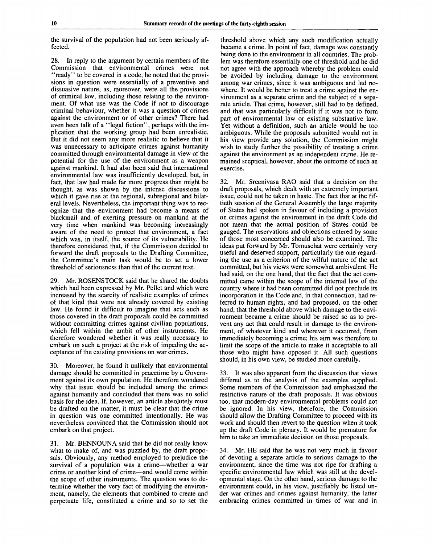the survival of the population had not been seriously affected.

28. In reply to the argument by certain members of the Commission that environmental crimes were not "ready" to be covered in a code, he noted that the provisions in question were essentially of a preventive and dissuasive nature, as, moreover, were all the provisions of criminal law, including those relating to the environment. Of what use was the Code if not to discourage criminal behaviour, whether it was a question of crimes against the environment or of other crimes? There had even been talk of a "legal fiction", perhaps with the implication that the working group had been unrealistic. But it did not seem any more realistic to believe that it was unnecessary to anticipate crimes against humanity committed through environmental damage in view of the potential for the use of the environment as a weapon against mankind. It had also been said that international environmental law. was insufficiently developed, but, in fact, that law had made far more progress than might be thought, as was shown by the intense discussions to which it gave rise at the regional, subregional and bilateral levels. Nevertheless, the important thing was to recognize that the environment had become a means of blackmail and of exerting pressure on mankind at the very time when mankind was becoming increasingly aware of the need to protect that environment, a fact which was, in itself, the source of its vulnerability. He therefore considered that, if the Commission decided to forward the draft proposals to the Drafting Committee, the Committee's main task would be to set a lower threshold of seriousness than that of the current text.

29. Mr. ROSENSTOCK said that he shared the doubts which had been expressed by Mr. Pellet and which were increased by the scarcity of realistic examples of crimes of that kind that were not already covered by existing law. He found it difficult to imagine that acts such as those covered in the draft proposals could be committed without committing crimes against civilian populations, which fell within the ambit of other instruments. He therefore wondered whether it was really necessary to embark on such a project at the risk of impeding the acceptance of the existing provisions on war crimes.

30. Moreover, he found it unlikely that environmental damage should be committed in peacetime by a Government against its own population. He therefore wondered why that issue should be included among the crimes against humanity and concluded that there was no solid basis for the idea. If, however, an article absolutely must be drafted on the matter, it must be clear that the crime in question was one committed intentionally. He was nevertheless convinced that the Commission should not embark on that project.

31. Mr. BENNOUNA said that he did not really know what to make of, and was puzzled by, the draft proposals. Obviously, any method employed to prejudice the survival of a population was a crime—whether a war crime or another kind of crime—and would come within the scope of other instruments. The question was to determine whether the very fact of modifying the environment, namely, the elements that combined to create and perpetuate life, constituted a crime and so to set the

threshold above which any such modification actually became a crime. In point of fact, damage was constantly being done to the environment in all countries. The problem was therefore essentially one of threshold and he did not agree with the approach whereby the problem could be avoided by including damage to the environment among war crimes, since it was ambiguous and led nowhere. It would be better to treat a crime against the environment as a separate crime and the subject of a separate article. That crime, however, still had to be defined, and that was particularly difficult if it was not to form part of environmental law or existing substantive law. Yet without a definition, such an article would be too ambiguous. While the proposals submitted would not in his view provide any solution, the Commission might wish to study further the possibility of treating a crime against the environment as an independent crime. He remained sceptical, however, about the outcome of such an exercise.

32. Mr. Sreenivasa RAO said that a decision on the draft proposals, which dealt with an extremely important issue, could not be taken in haste. The fact that at the fiftieth session of the General Assembly the large majority of States had spoken in favour of including a provision on crimes against the environment in the draft Code did not mean that the actual position of States could be gauged. The reservations and objections entered by some of those most concerned should also be examined. The ideas put forward by Mr. Tomuschat were certainly very useful and deserved support, particularly the one regarding the use as a criterion of the wilful nature of the act committed, but his views were somewhat ambivalent. He had said, on the one hand, that the fact that the act committed came within the scope of the internal law of the country where it had been committed did not preclude its incorporation in the Code and, in that connection, had referred to human rights, and had proposed, on the other hand, that the threshold above which damage to the environment became a crime should be raised so as to prevent any act that could result in damage to the environment, of whatever kind and wherever it occurred, from immediately becoming a crime; his aim was therefore to limit the scope of the article to make it acceptable to all those who might have opposed it. All such questions should, in his own view, be studied more carefully.

33. It was also apparent from the discussion that views differed as to the analysis of the examples supplied. Some members of the Commission had emphasized the restrictive nature of the draft proposals. It was obvious too, that modern-day environmental problems could not be ignored. In his view, therefore, the Commission should allow the Drafting Committee to proceed with its work and should then revert to the question when it took up the draft Code in plenary. It would be premature for him to take an immediate decision on those proposals.

34. Mr. HE said that he was not very much in favour of devoting a separate article to serious damage to the environment, since the time was not ripe for drafting a specific environmental law which was still at the developmental stage. On the other hand, serious damage to the environment could, in his view, justifiably be listed under war crimes and crimes against humanity, the latter embracing crimes committed in times of war and in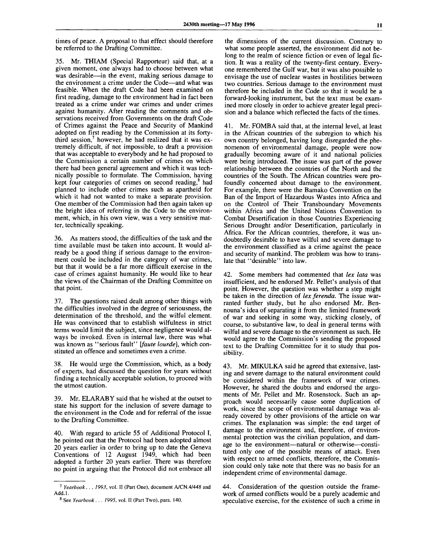times of peace. A proposal to that effect should therefore be referred to the Drafting Committee.

35. Mr. THIAM (Special Rapporteur) said that, at a given moment, one always had to choose between what was desirable—in the event, making serious damage to the environment a crime under the Code—and what was feasible. When the draft Code had been examined on first reading, damage to the environment had in fact been treated as a crime under war crimes and under crimes against humanity. After reading the comments and observations received from Governments on the draft Code of Crimes against the Peace and Security of Mankind adopted on first reading by the Commission at its fortythird session,<sup>7</sup> however, he had realized that it was extremely difficult, if not impossible, to draft a provision that was acceptable to everybody and he had proposed to the Commission a certain number of crimes on which there had been general agreement and which it was technically possible to formulate. The Commission, having kept four categories of crimes on second reading.<sup>8</sup> had planned to include other crimes such as apartheid for which it had not wanted to make a separate provision. One member of the Commission had then again taken up the bright idea of referring in the Code to the environment, which, in his own view, was a very sensitive matter, technically speaking.

36. As matters stood, the difficulties of the task and the time available must be taken into account. It would already be a good thing if serious damage to the environment could be included in the category of war crimes, but that it would be a far more difficult exercise in the case of crimes against humanity. He would like to hear the views of the Chairman of the Drafting Committee on that point.

37. The questions raised dealt among other things with the difficulties involved in the degree of seriousness, the determination of the threshold, and the wilful element. He was convinced that to establish wilfulness in strict terms would limit the subject, since negligence would always be invoked. Even in internal law, there was what was known as "serious fault" *\faute lourde],* which constituted an offence and sometimes even a crime.

38. He would urge the Commission, which, as a body of experts, had discussed the question for years without finding a technically acceptable solution, to proceed with the utmost caution.

39. Mr. ELARABY said that he wished at the outset to state his support for the inclusion of severe damage to the environment in the Code and for referral of the issue to the Drafting Committee.

40. With regard to article 55 of Additional Protocol I, he pointed out that the Protocol had been adopted almost 20 years earlier in order to bring up to date the Geneva Conventions of 12 August 1949, which had been adopted a further 20 years earlier. There was therefore no point in arguing that the Protocol did not embrace all

the dimensions of the current discussion. Contrary to what some people asserted, the environment did not belong to the realm of science fiction or even of legal fiction. It was a reality of the twenty-first century. Everyone remembered the Gulf war, but it was also possible to envisage the use of nuclear wastes in hostilities between two countries. Serious damage to the environment must therefore be included in the Code so that it would be a forward-looking instrument, but the text must be examined more closely in order to achieve greater legal precision and a balance which reflected the facts of the times.

41. Mr. FOMBA said that, at the internal level, at least in the African countries of the subregion to which his own country belonged, having long disregarded the phenomenon of environmental damage, people were now gradually becoming aware of it and national policies were being introduced. The issue was part of the power relationship between the countries of the North and the countries of the South. The African countries were profoundly concerned about damage to the environment. For example, there were the Bamako Convention on the Ban of the Import of Hazardous Wastes into Africa and on the Control of Their Transboundary Movements within Africa and the United Nations Convention to Combat Desertification in those Countries Experiencing Serious Drought and/or Desertification, particularly in Africa. For the African countries, therefore, it was undoubtedly desirable to have wilful and severe damage to the environment classified as a crime against the peace and security of mankind. The problem was how to translate that "desirable" into law.

42. Some members had commented that *lex lata* was insufficient, and he endorsed Mr. Pellet's analysis of that point. However, the question was whether a step might be taken in the direction of *lex ferenda.* The issue warranted further study, but he also endorsed Mr. Bennouna's idea of separating it from the limited framework of war and seeking in some way, sticking closely, of course, to substantive law, to deal in general terms with wilful and severe damage to the environment as such. He would agree to the Commission's sending the proposed text to the Drafting Committee for it to study that possibility.

43. Mr. MIKULKA said he agreed that extensive, lasting and severe damage to the natural environment could be considered within the framework of war crimes. However, he shared the doubts and endorsed the arguments of Mr. Pellet and Mr. Rosenstock. Such an approach would necessarily cause some duplication of work, since the scope of environmental damage was already covered by other provisions of the article on war crimes. The explanation was simple: the end target of damage to the environment and, therefore, of environmental protection was the civilian population, and damage to the environment—natural or otherwise—constituted only one of the possible means of attack. Even with respect to armed conflicts, therefore, the Commission could only take note that there was no basis for an independent crime of environmental damage.

44. Consideration of the question outside the framework of armed conflicts would be a purely academic and speculative exercise, for the existence of such a crime in

<sup>7</sup>  *Yearbook*. . . *1993,* vol. II (Part One), document A/CN.4/448 and Add.l.

<sup>8</sup> See *Yearbook . . . 1995,* vol. II (Part Two), para. 140.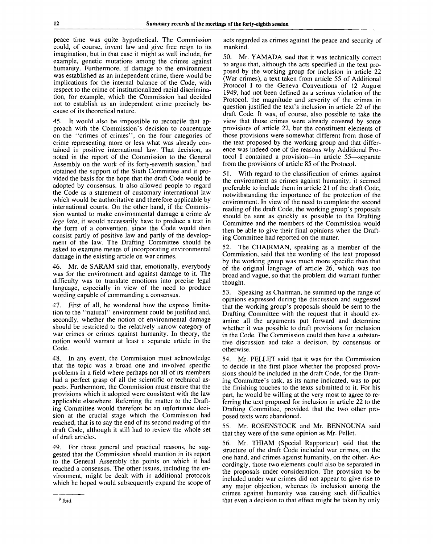peace time was quite hypothetical. The Commission could, of course, invent law and give free reign to its imagination, but in that case it might as well include, for example, genetic mutations among the crimes against humanity. Furthermore, if damage to the environment was established as an independent crime, there would be implications for the internal balance of the Code, with respect to the crime of institutionalized racial discrimination, for example, which the Commission had decided not to establish as an independent crime precisely because of its theoretical nature.

45. It would also be impossible to reconcile that approach with the Commission's decision to concentrate on the "crimes of crimes", on the four categories of crime representing more or less what was already contained in positive international law. That decision, as noted in the report of the Commission to the General Assembly on the work of its forty-seventh session, $9$  had obtained the support of the Sixth Committee and it provided the basis for the hope that the draft Code would be adopted by consensus. It also allowed people to regard the Code as a statement of customary international law which would be authoritative and therefore applicable by international courts. On the other hand, if the Commission wanted to make environmental damage a crime *de lege lata,* it would necessarily have to produce a text in the form of a convention, since the Code would then consist partly of positive law and partly of the development of the law. The Drafting Committee should be asked to examine means of incorporating environmental damage in the existing article on war crimes.

46. Mr. de SARAM said that, emotionally, everybody was for the environment and against damage to it. The difficulty was to translate emotions into precise legal language, especially in view of the need to produce wording capable of commanding a consensus.

47. First of all, he wondered how the express limitation to the "natural" environment could be justified and, secondly, whether the notion of environmental damage should be restricted to the relatively narrow category of war crimes or crimes against humanity. In theory, the notion would warrant at least a separate article in the Code.

48. In any event, the Commission must acknowledge that the topic was a broad one and involved specific problems in a field where perhaps not all of its members had a perfect grasp of all the scientific or technical aspects. Furthermore, the Commission must ensure that the provisions which it adopted were consistent with the law applicable elsewhere. Referring the matter to the Drafting Committee would therefore be an unfortunate decision at the crucial stage which the Commission had reached, that is to say the end of its second reading of the draft Code, although it still had to review the whole set of draft articles.

49. For those general and practical reasons, he suggested that the Commission should mention in its report to the General Assembly the points on which it had reached a consensus. The other issues, including the environment, might be dealt with in additional protocols which he hoped would subsequently expand the scope of acts regarded as crimes against the peace and security of mankind.

50. Mr. YAMADA said that it was technically correct to argue that, although the acts specified in the text proposed by the working group for inclusion in article 22 (War crimes), a text taken from article 55 of Additional Protocol I to the Geneva Conventions of 12 August 1949, had not been defined as a serious violation of the Protocol, the magnitude and severity of the crimes in question justified the text's inclusion in article 22 of the draft Code. It was, of course, also possible to take the view that those crimes were already covered by some provisions of article 22, but the constituent elements of those provisions were somewhat different from those of the text proposed by the working group and that difference was indeed one of the reasons why Additional Protocol I contained a provision—in article 55—separate from the provisions of article 85 of the Protocol.

With regard to the classification of crimes against the environment as crimes against humanity, it seemed preferable to include them in article 21 of the draft Code, notwithstanding the importance of the protection of the environment. In view of the need to complete the second reading of the draft Code, the working group's proposals should be sent as quickly as possible to the Drafting Committee and the members of the Commission would then be able to give their final opinions when the Drafting Committee had reported on the matter.

52. The CHAIRMAN, speaking as a member of the Commission, said that the wording of the text proposed by the working group was much more specific than that of the original language of article 26, which was too broad and vague, so that the problem did warrant further thought.

53. Speaking as Chairman, he summed up the range of opinions expressed during the discussion and suggested that the working group's proposals should be sent to the Drafting Committee with the request that it should examine all the arguments put forward and determine whether it was possible to draft provisions for inclusion in the Code. The Commission could then have a substantive discussion and take a decision, by consensus or otherwise.

54. Mr. PELLET said that it was for the Commission to decide in the first place whether the proposed provisions should be included in the draft Code, for the Drafting Committee's task, as its name indicated, was to put the finishing touches to the texts submitted to it. For his part, he would be willing at the very most to agree to referring the text proposed for inclusion in article 22 to the Drafting Committee, provided that the two other proposed texts were abandoned.

55. Mr. ROSENSTOCK and Mr. BENNOUNA said that they were of the same opinion as Mr. Pellet.

56. Mr. THIAM (Special Rapporteur) said that the structure of the draft Code included war crimes, on the one hand, and crimes against humanity, on the other. Accordingly, those two elements could also be separated in the proposals under consideration. The provision to be included under war crimes did not appear to give rise to any major objection, whereas its inclusion among the crimes against humanity was causing such difficulties that even a decision to that effect might be taken by only

<sup>9</sup> Ibid.